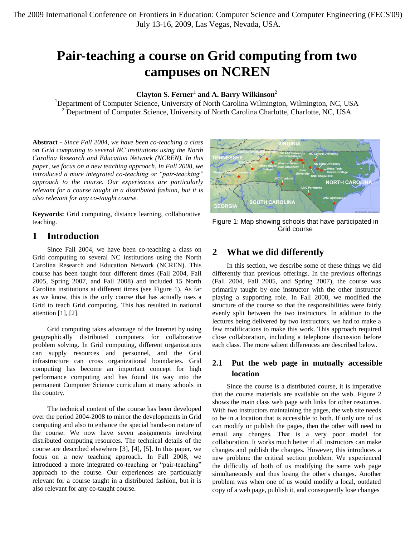# **Pair-teaching a course on Grid computing from two campuses on NCREN**

### **Clayton S. Ferner**<sup>1</sup> **and A. Barry Wilkinson**<sup>2</sup>

<sup>1</sup>Department of Computer Science, University of North Carolina Wilmington, Wilmington, NC, USA  $<sup>2</sup>$  Department of Computer Science, University of North Carolina Charlotte, Charlotte, NC, USA</sup>

**Abstract** *- Since Fall 2004, we have been co-teaching a class on Grid computing to several NC institutions using the North Carolina Research and Education Network (NCREN). In this paper, we focus on a new teaching approach. In Fall 2008, we introduced a more integrated co-teaching or "pair-teaching" approach to the course. Our experiences are particularly relevant for a course taught in a distributed fashion, but it is also relevant for any co-taught course.*

**Keywords:** Grid computing, distance learning, collaborative teaching.

### **1 Introduction**

Since Fall 2004, we have been co-teaching a class on Grid computing to several NC institutions using the North Carolina Research and Education Network (NCREN). This course has been taught four different times (Fall 2004, Fall 2005, Spring 2007, and Fall 2008) and included 15 North Carolina institutions at different times (see Figure 1). As far as we know, this is the only course that has actually uses a Grid to teach Grid computing. This has resulted in national attention [1], [2].

Grid computing takes advantage of the Internet by using geographically distributed computers for collaborative problem solving. In Grid computing, different organizations can supply resources and personnel, and the Grid infrastructure can cross organizational boundaries. Grid computing has become an important concept for high performance computing and has found its way into the permanent Computer Science curriculum at many schools in the country.

The technical content of the course has been developed over the period 2004-2008 to mirror the developments in Grid computing and also to enhance the special hands-on nature of the course. We now have seven assignments involving distributed computing resources. The technical details of the course are described elsewhere [3], [4], [5]. In this paper, we focus on a new teaching approach. In Fall 2008, we introduced a more integrated co-teaching or "pair-teaching" approach to the course. Our experiences are particularly relevant for a course taught in a distributed fashion, but it is also relevant for any co-taught course.



Figure 1: Map showing schools that have participated in Grid course

### **2 What we did differently**

In this section, we describe some of these things we did differently than previous offerings. In the previous offerings (Fall 2004, Fall 2005, and Spring 2007), the course was primarily taught by one instructor with the other instructor playing a supporting role. In Fall 2008, we modified the structure of the course so that the responsibilities were fairly evenly split between the two instructors. In addition to the lectures being delivered by two instructors, we had to make a few modifications to make this work. This approach required close collaboration, including a telephone discussion before each class. The more salient differences are described below.

### **2.1 Put the web page in mutually accessible location**

Since the course is a distributed course, it is imperative that the course materials are available on the web. Figure 2 shows the main class web page with links for other resources. With two instructors maintaining the pages, the web site needs to be in a location that is accessible to both. If only one of us can modify or publish the pages, then the other will need to email any changes. That is a very poor model for collaboration. It works much better if all instructors can make changes and publish the changes. However, this introduces a new problem: the critical section problem. We experienced the difficulty of both of us modifying the same web page simultaneously and thus losing the other's changes. Another problem was when one of us would modify a local, outdated copy of a web page, publish it, and consequently lose changes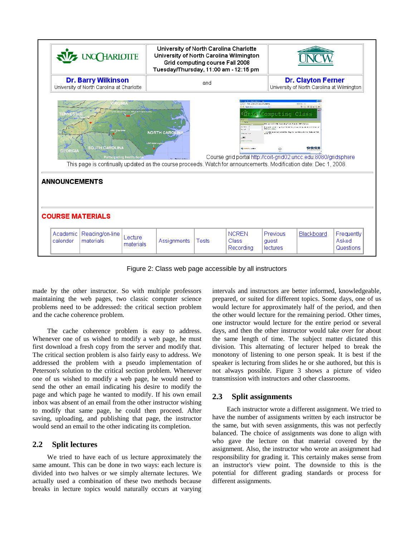

Figure 2: Class web page accessible by all instructors

made by the other instructor. So with multiple professors maintaining the web pages, two classic computer science problems need to be addressed: the critical section problem and the cache coherence problem.

The cache coherence problem is easy to address. Whenever one of us wished to modify a web page, he must first download a fresh copy from the server and modify that. The critical section problem is also fairly easy to address. We addressed the problem with a pseudo implementation of Peterson's solution to the critical section problem. Whenever one of us wished to modify a web page, he would need to send the other an email indicating his desire to modify the page and which page he wanted to modify. If his own email inbox was absent of an email from the other instructor wishing to modify that same page, he could then proceed. After saving, uploading, and publishing that page, the instructor would send an email to the other indicating its completion.

### **2.2 Split lectures**

We tried to have each of us lecture approximately the same amount. This can be done in two ways: each lecture is divided into two halves or we simply alternate lectures. We actually used a combination of these two methods because breaks in lecture topics would naturally occurs at varying

intervals and instructors are better informed, knowledgeable, prepared, or suited for different topics. Some days, one of us would lecture for approximately half of the period, and then the other would lecture for the remaining period. Other times, one instructor would lecture for the entire period or several days, and then the other instructor would take over for about the same length of time. The subject matter dictated this division. This alternating of lecturer helped to break the monotony of listening to one person speak. It is best if the speaker is lecturing from slides he or she authored, but this is not always possible. Figure 3 shows a picture of video transmission with instructors and other classrooms.

### **2.3 Split assignments**

Each instructor wrote a different assignment. We tried to have the number of assignments written by each instructor be the same, but with seven assignments, this was not perfectly balanced. The choice of assignments was done to align with who gave the lecture on that material covered by the assignment. Also, the instructor who wrote an assignment had responsibility for grading it. This certainly makes sense from an instructor's view point. The downside to this is the potential for different grading standards or process for different assignments.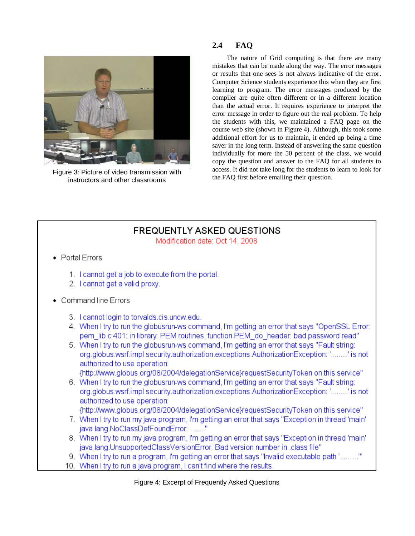

Figure 3: Picture of video transmission with instructors and other classrooms

#### $2.4$ **FAQ**

The nature of Grid computing is that there are many mistakes that can be made along the way. The error messages or results that one sees is not always indicative of the error. Computer Science students experience this when they are first learning to program. The error messages produced by the compiler are quite often different or in a different location than the actual error. It requires experience to interpret the error message in order to figure out the real problem. To help the students with this, we maintained a FAQ page on the course web site (shown in Figure 4). Although, this took some additional effort for us to maintain, it ended up being a time saver in the long term. Instead of answering the same question individually for more the 50 percent of the class, we would copy the question and answer to the FAQ for all students to access. It did not take long for the students to learn to look for the FAQ first before emailing their question.

## **FREQUENTLY ASKED QUESTIONS**

Modification date: Oct 14, 2008

- Portal Frrors
	- 1. I cannot get a job to execute from the portal.
	- 2. I cannot get a valid proxy.
- Command line Frrors
	- 3. I cannot login to torvalds.cis.uncw.edu.
	- 4. When I try to run the globusrun-ws command, I'm getting an error that says "OpenSSL Error: pem lib.c:401: in library: PEM routines, function PEM\_do\_header: bad password read"
	- 5. When I try to run the globusrun-ws command, I'm getting an error that says "Fault string: org.globus.wsrf.impl.security.authorization.exceptions.AuthorizationException: '.........' is not authorized to use operation:

{http://www.globus.org/08/2004/delegationService}requestSecurityToken on this service"

6. When I try to run the globusrun-ws command, I'm getting an error that says "Fault string: org.globus.wsrf.impl.security.authorization.exceptions.AuthorizationException: '.........' is not authorized to use operation:

{http://www.globus.org/08/2004/delegationService}requestSecurityToken on this service"

- 7. When I try to run my java program, I'm getting an error that says "Exception in thread 'main' java.lang.NoClassDefFoundError: ........"
- 8. When I try to run my java program, I'm getting an error that says "Exception in thread 'main' java.lang.UnsupportedClassVersionError: Bad version number in .class file"
- 9. When I try to run a program, I'm getting an error that says "Invalid executable path ".........""
- 10. When I try to run a java program, I can't find where the results.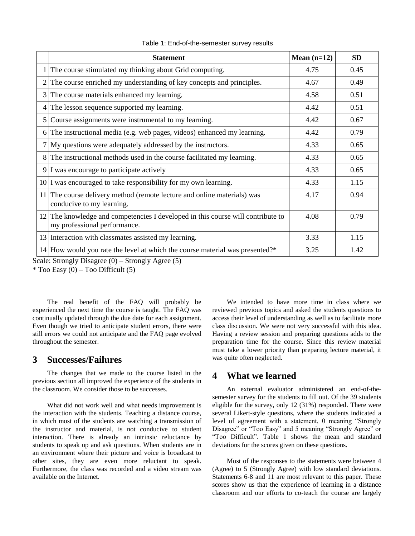|   | <b>Statement</b>                                                                                                | Mean $(n=12)$ | <b>SD</b> |
|---|-----------------------------------------------------------------------------------------------------------------|---------------|-----------|
| 1 | The course stimulated my thinking about Grid computing.                                                         | 4.75          | 0.45      |
| 2 | The course enriched my understanding of key concepts and principles.                                            | 4.67          | 0.49      |
| 3 | The course materials enhanced my learning.                                                                      | 4.58          | 0.51      |
| 4 | The lesson sequence supported my learning.                                                                      | 4.42          | 0.51      |
| 5 | Course assignments were instrumental to my learning.                                                            | 4.42          | 0.67      |
| 6 | The instructional media (e.g. web pages, videos) enhanced my learning.                                          | 4.42          | 0.79      |
| 7 | My questions were adequately addressed by the instructors.                                                      | 4.33          | 0.65      |
| 8 | The instructional methods used in the course facilitated my learning.                                           | 4.33          | 0.65      |
| 9 | I was encourage to participate actively                                                                         | 4.33          | 0.65      |
|   | $10$ I was encouraged to take responsibility for my own learning.                                               | 4.33          | 1.15      |
|   | 11 The course delivery method (remote lecture and online materials) was<br>conducive to my learning.            | 4.17          | 0.94      |
|   | 12 The knowledge and competencies I developed in this course will contribute to<br>my professional performance. | 4.08          | 0.79      |
|   | 13 Interaction with classmates assisted my learning.                                                            | 3.33          | 1.15      |
|   | 14 How would you rate the level at which the course material was presented?*                                    | 3.25          | 1.42      |

Table 1: End-of-the-semester survey results

Scale: Strongly Disagree (0) – Strongly Agree (5)

 $*$  Too Easy (0) – Too Difficult (5)

The real benefit of the FAQ will probably be experienced the next time the course is taught. The FAQ was continually updated through the due date for each assignment. Even though we tried to anticipate student errors, there were still errors we could not anticipate and the FAQ page evolved throughout the semester.

### **3 Successes/Failures**

The changes that we made to the course listed in the previous section all improved the experience of the students in the classroom. We consider those to be successes.

What did not work well and what needs improvement is the interaction with the students. Teaching a distance course, in which most of the students are watching a transmission of the instructor and material, is not conducive to student interaction. There is already an intrinsic reluctance by students to speak up and ask questions. When students are in an environment where their picture and voice is broadcast to other sites, they are even more reluctant to speak. Furthermore, the class was recorded and a video stream was available on the Internet.

We intended to have more time in class where we reviewed previous topics and asked the students questions to access their level of understanding as well as to facilitate more class discussion. We were not very successful with this idea. Having a review session and preparing questions adds to the preparation time for the course. Since this review material must take a lower priority than preparing lecture material, it was quite often neglected.

### **4 What we learned**

An external evaluator administered an end-of-thesemester survey for the students to fill out. Of the 39 students eligible for the survey, only 12 (31%) responded. There were several Likert-style questions, where the students indicated a level of agreement with a statement, 0 meaning "Strongly Disagree" or "Too Easy" and 5 meaning "Strongly Agree" or "Too Difficult". Table 1 shows the mean and standard deviations for the scores given on these questions.

Most of the responses to the statements were between 4 (Agree) to 5 (Strongly Agree) with low standard deviations. Statements 6-8 and 11 are most relevant to this paper. These scores show us that the experience of learning in a distance classroom and our efforts to co-teach the course are largely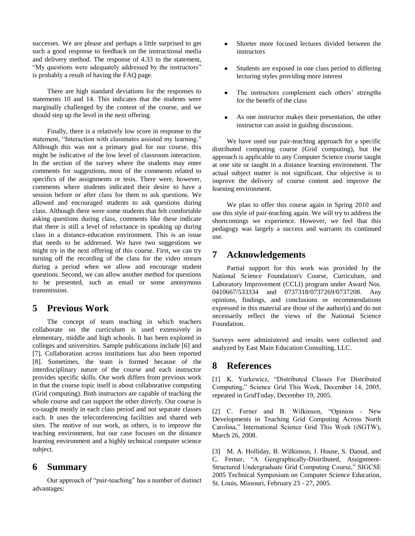successes. We are please and perhaps a little surprised to get such a good response to feedback on the instructional media and delivery method. The response of 4.33 to the statement, "My questions were adequately addressed by the instructors" is probably a result of having the FAQ page.

There are high standard deviations for the responses to statements 10 and 14. This indicates that the students were marginally challenged by the content of the course, and we should step up the level in the next offering.

Finally, there is a relatively low score in response to the statement, "Interaction with classmates assisted my learning." Although this was not a primary goal for our course, this might be indicative of the low level of classroom interaction. In the section of the survey where the students may enter comments for suggestions, most of the comments related to specifics of the assignments or tests. There were, however, comments where students indicated their desire to have a session before or after class for them to ask questions. We allowed and encouraged students to ask questions during class. Although there were some students that felt comfortable asking questions during class, comments like these indicate that there is still a level of reluctance in speaking up during class in a distance-education environment. This is an issue that needs to be addressed. We have two suggestions we might try in the next offering of this course. First, we can try turning off the recording of the class for the video stream during a period when we allow and encourage student questions. Second, we can allow another method for questions to be presented, such as email or some anonymous transmission.

### **5 Previous Work**

The concept of team teaching in which teachers collaborate on the curriculum is used extensively in elementary, middle and high schools. It has been explored in colleges and universities. Sample publications include [6] and [7]. Collaboration across institutions has also been reported [8]. Sometimes, the team is formed because of the interdisciplinary nature of the course and each instructor provides specific skills. Our work differs from previous work in that the course topic itself is about collaborative computing (Grid computing). Both instructors are capable of teaching the whole course and can support the other directly. Our course is co-taught mostly in each class period and not separate classes each. It uses the teleconferencing facilities and shared web sites. The motive of our work, as others, is to improve the teaching environment, but our case focuses on the distance learning environment and a highly technical computer science subject.

### **6 Summary**

Our approach of "pair-teaching" has a number of distinct advantages:

- Shorter more focused lectures divided between the  $\bullet$ instructors
- $\bullet$ Students are exposed in one class period to differing lecturing styles providing more interest
- The instructors complement each others' strengths for the benefit of the class
- As one instructor makes their presentation, the other  $\bullet$ instructor can assist in guiding discussions.

We have used our pair-teaching approach for a specific distributed computing course (Grid computing), but the approach is applicable to any Computer Science course taught at one site or taught in a distance learning environment. The actual subject matter is not significant. Our objective is to improve the delivery of course content and improve the learning environment.

We plan to offer this course again in Spring 2010 and use this style of pair-teaching again. We will try to address the shortcomings we experience. However, we feel that this pedagogy was largely a success and warrants its continued use.

### **7 Acknowledgements**

Partial support for this work was provided by the National Science Foundation's Course, Curriculum, and Laboratory Improvement (CCLI) program under Award Nos. 0410667/533334 and 0737318/0737269/0737208. Any opinions, findings, and conclusions or recommendations expressed in this material are those of the author(s) and do not necessarily reflect the views of the National Science Foundation.

Surveys were administered and results were collected and analyzed by East Main Education Consulting, LLC.

### **8 References**

[1] K. Yurkewicz, "Distributed Classes For Distributed Computing," Science Grid This Week, December 14, 2005, repeated in GridToday, December 19, 2005.

[2] C. Ferner and B. Wilkinson, "Opinion - New Developments in Teaching Grid Computing Across North Carolina," International Science Grid This Week (iSGTW), March 26, 2008.

[3] M. A. Holliday, B. Wilkinson, J. House, S. Daoud, and C. Ferner, "A Geographically-Distributed, Assignment-Structured Undergraduate Grid Computing Course," SIGCSE 2005 Technical Symposium on Computer Science Education, St. Louis, Missouri, February 23 - 27, 2005.